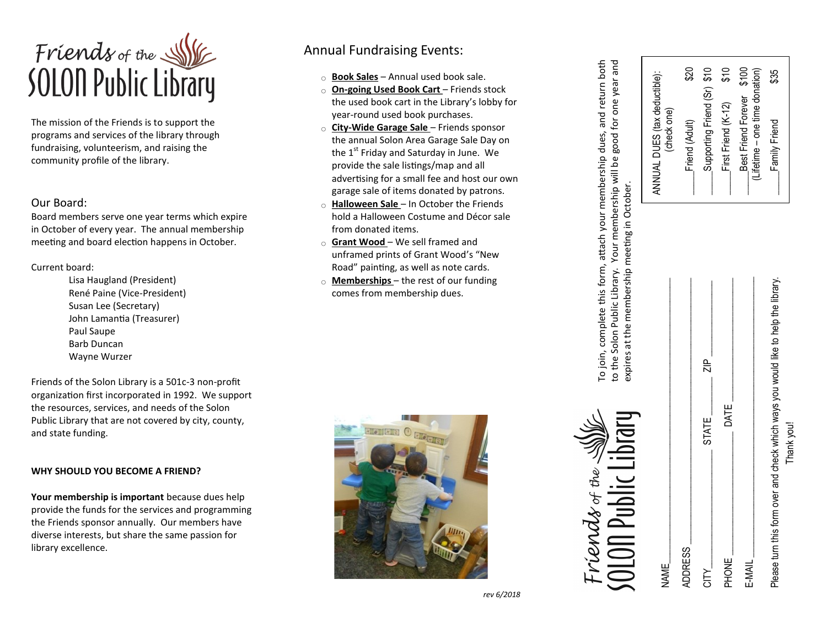

The mission of the Friends is to support the programs and services of the library through fundraising, volunteerism, and raising the community profile of the library.

## Our Board:

Board members serve one year terms which expire in October of every year. The annual membership meeting and board election happens in October.

Current board:

Lisa Haugland (President) René Paine (Vice -President) Susan Lee (Secretary) John Lamantia (Treasurer) Paul Saupe Barb Duncan Wayne Wurzer

Friends of the Solon Library is a 501c -3 non -profit organization first incorporated in 1992. We support the resources, services, and needs of the Solon Public Library that are not covered by city, county, and state funding.

#### **WHY SHOULD YOU BECOME A FRIEND?**

**Your membership is important** because dues help provide the funds for the services and programming the Friends sponsor annually. Our members have diverse interests, but share the same passion for library excellence.

# Annual Fundraising Events:

- **Book Sales** Annual used book sale.
- **On-going Used Book Cart**  Friends stock the used book cart in the Library 's lobby for year -round used book purchases.
- **City -Wide Garage Sale**  Friends sponsor the annual Solon Area Garage Sale Day on the  $1<sup>st</sup>$  Friday and Saturday in June. We provide the sale listings/map and all advertising for a small fee and host our own garage sale of items donated by patrons.
- **Halloween Sale**  In October the Friends hold a Halloween Costume and Décor sale from donated items.
- **Grant Wood**  We sell framed and unframed prints of Grant Wood 's "New Road" painting, as well as note cards.
- **Memberships**  the rest of our funding comes from membership dues.



To join, complete this form, attach your membership dues, and return both<br>o the Solon Public Library. Your membership will be good for one year and To join, complete this form, attach your membership dues, and return both to the Solon Public Library. Your membership will be good for one year and expires at the membership meeting in October. expires at the membership meeting in October.

ANNUAL DUES (tax deductible): (check one)

ANNUAL DUES (tax deductible):

dind (Alland Chevall)  $\overline{S}$  (s)  $\overline{S}$  result  $\overline{S}$  and  $\overline{S}$  and  $\overline{S}$ \_\_\_\_\_First Friend (K-12) \$10 Best Friend Forever \$100 (Lifetime – one time donation) Family Friend \$35

Friend (Adult)

Supporting Friend (Sr) \$10

 $520$ 

 $$100$ 

Best Friend Forever First Friend (K-12)

(Lifetime – one time donation)

\$35

Family Friend

 $\frac{6}{5}$ 



 $NAME$ 

 ${\sf ADDRESS}$   $\blacksquare$ 

**ADDRESS** 

CITY\_\_\_\_\_\_\_\_\_\_\_\_\_\_\_\_\_\_\_\_\_\_\_\_\_ STATE \_\_\_\_\_\_\_\_ ZIP \_\_\_\_\_\_\_\_\_\_\_\_\_\_\_\_

**STATE** 

 $\frac{p}{q}$ 

PHONE \_\_\_\_\_\_\_\_\_\_\_\_\_\_\_\_\_\_\_\_\_\_\_\_\_\_ DATE \_\_\_\_\_\_\_\_\_\_\_\_\_\_\_\_\_\_\_\_\_\_\_\_\_\_

PHONE

**NIC** 

E-MAIL

**DATE** 

|   | Please turn this form over and check which ways you would like to help the library | hank you. |
|---|------------------------------------------------------------------------------------|-----------|
| ī |                                                                                    |           |

*rev 6/2018*